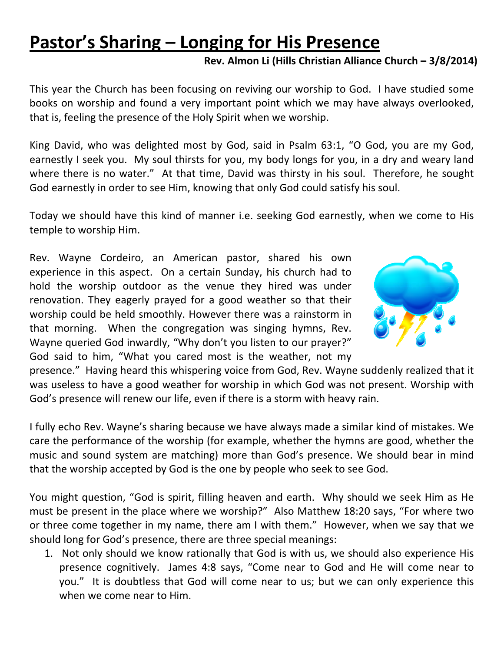## **Pastor's Sharing – Longing for His Presence**

## **Rev. Almon Li (Hills Christian Alliance Church – 3/8/2014)**

This year the Church has been focusing on reviving our worship to God. I have studied some books on worship and found a very important point which we may have always overlooked, that is, feeling the presence of the Holy Spirit when we worship.

King David, who was delighted most by God, said in Psalm 63:1, "O God, you are my God, earnestly I seek you. My soul thirsts for you, my body longs for you, in a dry and weary land where there is no water." At that time, David was thirsty in his soul. Therefore, he sought God earnestly in order to see Him, knowing that only God could satisfy his soul.

Today we should have this kind of manner i.e. seeking God earnestly, when we come to His temple to worship Him.

Rev. Wayne Cordeiro, an American pastor, shared his own experience in this aspect. On a certain Sunday, his church had to hold the worship outdoor as the venue they hired was under renovation. They eagerly prayed for a good weather so that their worship could be held smoothly. However there was a rainstorm in that morning. When the congregation was singing hymns, Rev. Wayne queried God inwardly, "Why don't you listen to our prayer?" God said to him, "What you cared most is the weather, not my



presence." Having heard this whispering voice from God, Rev. Wayne suddenly realized that it was useless to have a good weather for worship in which God was not present. Worship with God's presence will renew our life, even if there is a storm with heavy rain.

I fully echo Rev. Wayne's sharing because we have always made a similar kind of mistakes. We care the performance of the worship (for example, whether the hymns are good, whether the music and sound system are matching) more than God's presence. We should bear in mind that the worship accepted by God is the one by people who seek to see God.

You might question, "God is spirit, filling heaven and earth. Why should we seek Him as He must be present in the place where we worship?" Also Matthew 18:20 says, "For where two or three come together in my name, there am I with them." However, when we say that we should long for God's presence, there are three special meanings:

1. Not only should we know rationally that God is with us, we should also experience His presence cognitively. James 4:8 says, "Come near to God and He will come near to you." It is doubtless that God will come near to us; but we can only experience this when we come near to Him.